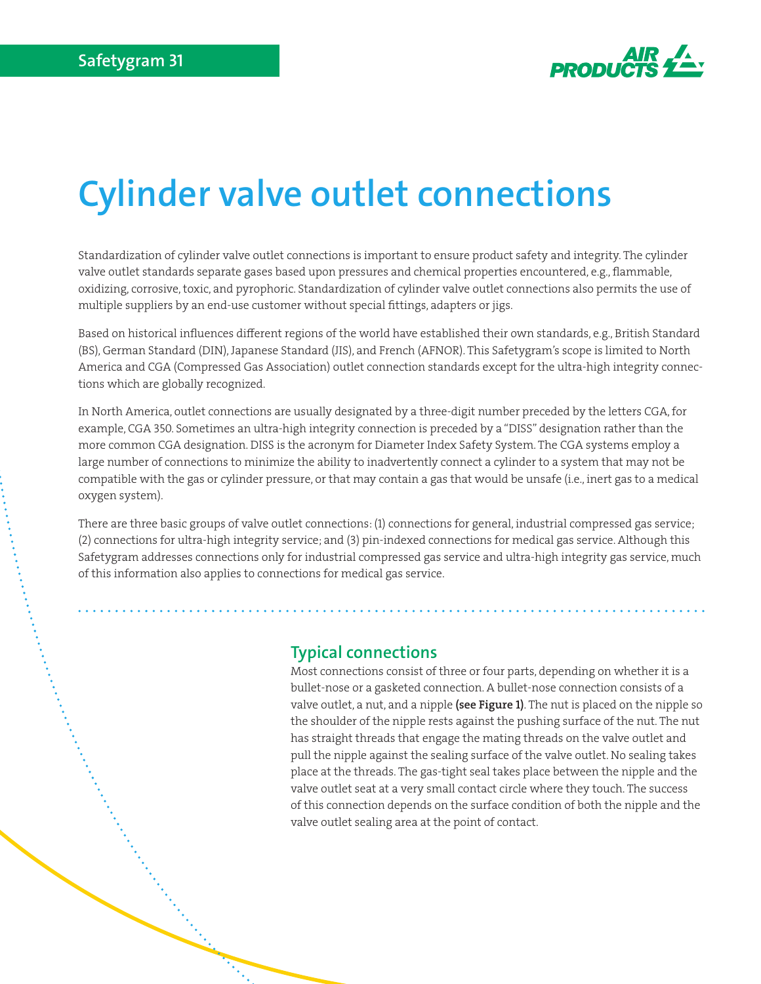

# **Cylinder valve outlet connections**

Standardization of cylinder valve outlet connections is important to ensure product safety and integrity. The cylinder valve outlet standards separate gases based upon pressures and chemical properties encountered, e.g., flammable, oxidizing, corrosive, toxic, and pyrophoric. Standardization of cylinder valve outlet connections also permits the use of multiple suppliers by an end-use customer without special fittings, adapters or jigs.

Based on historical influences different regions of the world have established their own standards, e.g., British Standard (BS), German Standard (DIN), Japanese Standard (JIS), and French (AFNOR). This Safetygram's scope is limited to North America and CGA (Compressed Gas Association) outlet connection standards except for the ultra-high integrity connections which are globally recognized.

In North America, outlet connections are usually designated by a three-digit number preceded by the letters CGA, for example, CGA 350. Sometimes an ultra-high integrity connection is preceded by a "DISS" designation rather than the more common CGA designation. DISS is the acronym for Diameter Index Safety System. The CGA systems employ a large number of connections to minimize the ability to inadvertently connect a cylinder to a system that may not be compatible with the gas or cylinder pressure, or that may contain a gas that would be unsafe (i.e., inert gas to a medical oxygen system).

There are three basic groups of valve outlet connections: (1) connections for general, industrial compressed gas service; (2) connections for ultra-high integrity service; and (3) pin-indexed connections for medical gas service. Although this Safetygram addresses connections only for industrial compressed gas service and ultra-high integrity gas service, much of this information also applies to connections for medical gas service.

### **Typical connections**

Most connections consist of three or four parts, depending on whether it is a bullet-nose or a gasketed connection. A bullet-nose connection consists of a valve outlet, a nut, and a nipple (see Figure 1). The nut is placed on the nipple so the shoulder of the nipple rests against the pushing surface of the nut. The nut has straight threads that engage the mating threads on the valve outlet and pull the nipple against the sealing surface of the valve outlet. No sealing takes place at the threads. The gas-tight seal takes place between the nipple and the valve outlet seat at a very small contact circle where they touch. The success of this connection depends on the surface condition of both the nipple and the valve outlet sealing area at the point of contact.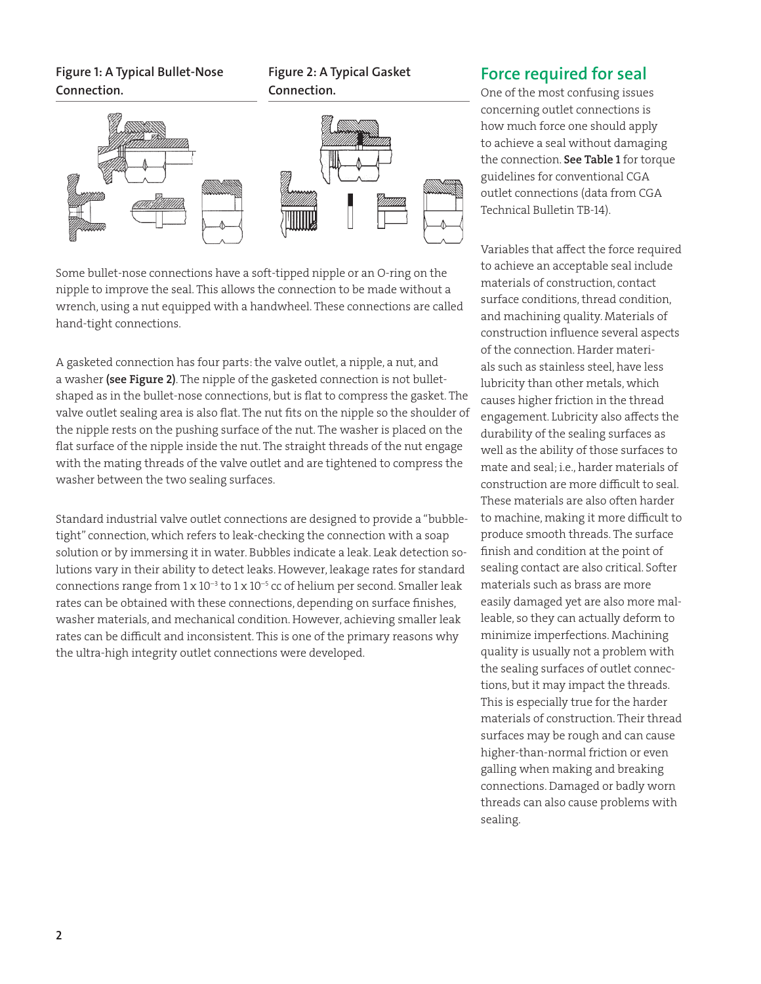### **Figure 1: A Typical Bullet-Nose Connection.**





Some bullet-nose connections have a soft-tipped nipple or an O-ring on the nipple to improve the seal. This allows the connection to be made without a wrench, using a nut equipped with a handwheel. These connections are called hand-tight connections.

A gasketed connection has four parts: the valve outlet, a nipple, a nut, and a washer (see Figure 2). The nipple of the gasketed connection is not bulletshaped as in the bullet-nose connections, but is flat to compress the gasket. The valve outlet sealing area is also flat. The nut fits on the nipple so the shoulder of the nipple rests on the pushing surface of the nut. The washer is placed on the flat surface of the nipple inside the nut. The straight threads of the nut engage with the mating threads of the valve outlet and are tightened to compress the washer between the two sealing surfaces.

Standard industrial valve outlet connections are designed to provide a "bubbletight" connection, which refers to leak-checking the connection with a soap solution or by immersing it in water. Bubbles indicate a leak. Leak detection solutions vary in their ability to detect leaks. However, leakage rates for standard connections range from  $1 \times 10^{-3}$  to  $1 \times 10^{-5}$  cc of helium per second. Smaller leak rates can be obtained with these connections, depending on surface finishes, washer materials, and mechanical condition. However, achieving smaller leak rates can be difficult and inconsistent. This is one of the primary reasons why the ultra-high integrity outlet connections were developed.

# **Force required for seal**

One of the most confusing issues concerning outlet connections is how much force one should apply to achieve a seal without damaging the connection. See Table 1 for torque guidelines for conventional CGA outlet connections (data from CGA Technical Bulletin TB-14).

Variables that affect the force required to achieve an acceptable seal include materials of construction, contact surface conditions, thread condition, and machining quality. Materials of construction influence several aspects of the connection. Harder materials such as stainless steel, have less lubricity than other metals, which causes higher friction in the thread engagement. Lubricity also affects the durability of the sealing surfaces as well as the ability of those surfaces to mate and seal; i.e., harder materials of construction are more difficult to seal. These materials are also often harder to machine, making it more difficult to produce smooth threads. The surface finish and condition at the point of sealing contact are also critical. Softer materials such as brass are more easily damaged yet are also more malleable, so they can actually deform to minimize imperfections. Machining quality is usually not a problem with the sealing surfaces of outlet connections, but it may impact the threads. This is especially true for the harder materials of construction. Their thread surfaces may be rough and can cause higher-than-normal friction or even galling when making and breaking connections. Damaged or badly worn threads can also cause problems with sealing.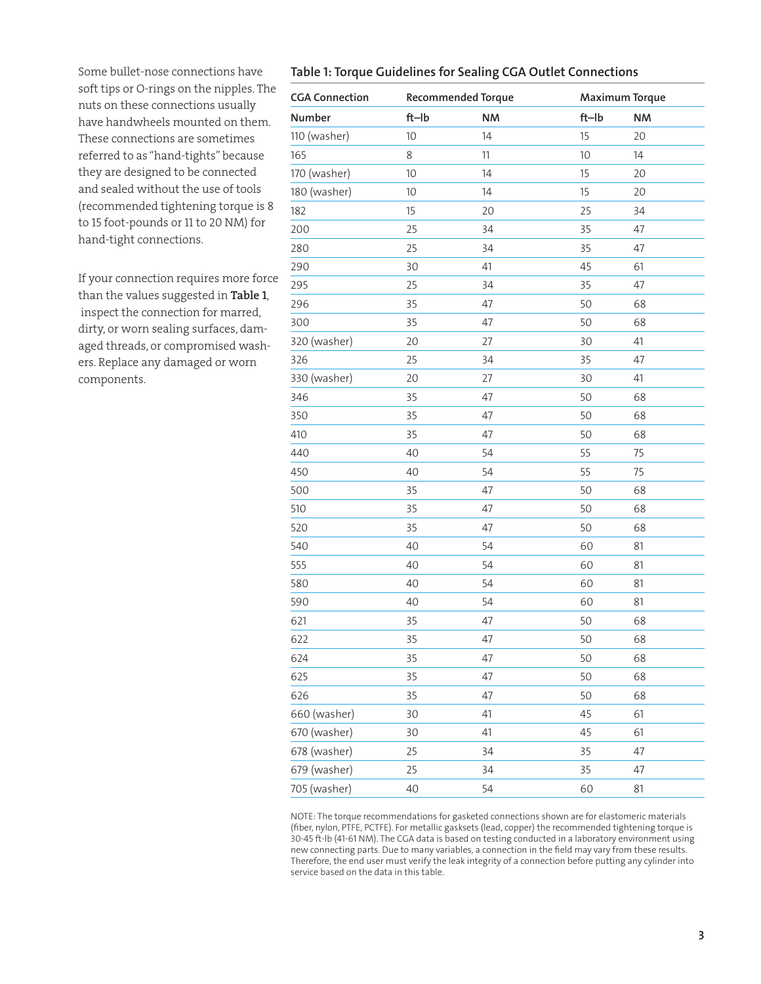**Table 1: Torque Guidelines for Sealing CGA Outlet Connections**

| Some bullet-nose connections have        |  |  |  |  |  |
|------------------------------------------|--|--|--|--|--|
| soft tips or O-rings on the nipples. The |  |  |  |  |  |
| nuts on these connections usually        |  |  |  |  |  |
| have handwheels mounted on them.         |  |  |  |  |  |
| These connections are sometimes          |  |  |  |  |  |
| referred to as "hand-tights" because     |  |  |  |  |  |
| they are designed to be connected        |  |  |  |  |  |
| and sealed without the use of tools      |  |  |  |  |  |
| (recommended tightening torque is 8      |  |  |  |  |  |
| to 15 foot-pounds or 11 to 20 NM) for    |  |  |  |  |  |
| hand-tight connections.                  |  |  |  |  |  |

If your connection requires more force than the values suggested in Table 1, inspect the connection for marred, dirty, or worn sealing surfaces, damaged threads, or compromised washers. Replace any damaged or worn components.

| <b>CGA Connection</b> | <b>Recommended Torque</b> |           | <b>Maximum Torque</b> |           |
|-----------------------|---------------------------|-----------|-----------------------|-----------|
| Number                | $ft$ -lb                  | <b>NM</b> | $ft$ -lb              | <b>NM</b> |
| 110 (washer)          | 10                        | 14        | 15                    | 20        |
| 165                   | 8                         | 11        | 10                    | 14        |
| 170 (washer)          | 10                        | 14        | 15                    | 20        |
| 180 (washer)          | 10                        | 14        | 15                    | 20        |
| 182                   | 15                        | 20        | 25                    | 34        |
| 200                   | 25                        | 34        | 35                    | 47        |
| 280                   | 25                        | 34        | 35                    | 47        |
| 290                   | 30                        | 41        | 45                    | 61        |
| 295                   | 25                        | 34        | 35                    | 47        |
| 296                   | 35                        | 47        | 50                    | 68        |
| 300                   | 35                        | 47        | 50                    | 68        |
| 320 (washer)          | 20                        | 27        | 30                    | 41        |
| 326                   | 25                        | 34        | 35                    | 47        |
| 330 (washer)          | 20                        | 27        | 30                    | 41        |
| 346                   | 35                        | 47        | 50                    | 68        |
| 350                   | 35                        | 47        | 50                    | 68        |
| 410                   | 35                        | 47        | 50                    | 68        |
| 440                   | 40                        | 54        | 55                    | 75        |
| 450                   | 40                        | 54        | 55                    | 75        |
| 500                   | 35                        | 47        | 50                    | 68        |
| 510                   | 35                        | 47        | 50                    | 68        |
| 520                   | 35                        | 47        | 50                    | 68        |
| 540                   | 40                        | 54        | 60                    | 81        |
| 555                   | 40                        | 54        | 60                    | 81        |
| 580                   | 40                        | 54        | 60                    | 81        |
| 590                   | 40                        | 54        | 60                    | 81        |
| 621                   | 35                        | 47        | 50                    | 68        |
| 622                   | 35                        | 47        | 50                    | 68        |
| 624                   | 35                        | 47        | 50                    | 68        |
| 625                   | 35                        | 47        | 50                    | 68        |
| 626                   | 35                        | 47        | 50                    | 68        |
| 660 (washer)          | 30                        | 41        | 45                    | 61        |
| 670 (washer)          | 30                        | 41        | 45                    | 61        |
| 678 (washer)          | 25                        | 34        | 35                    | 47        |
| 679 (washer)          | 25                        | 34        | 35                    | 47        |
| 705 (washer)          | 40                        | 54        | 60                    | 81        |

NOTE: The torque recommendations for gasketed connections shown are for elastomeric materials (fiber, nylon, PTFE, PCTFE). For metallic gasksets (lead, copper) the recommended tightening torque is 30-45 ft-lb (41-61 NM). The CGA data is based on testing conducted in a laboratory environment using new connecting parts. Due to many variables, a connection in the field may vary from these results. Therefore, the end user must verify the leak integrity of a connection before putting any cylinder into service based on the data in this table.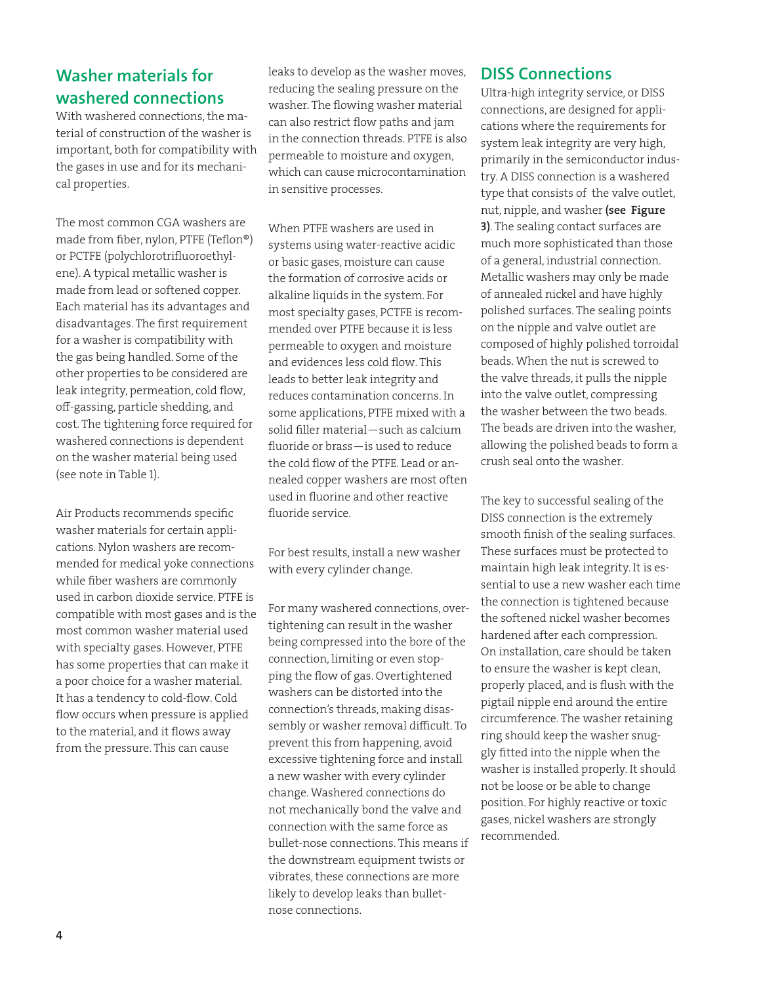# **Washer materials for washered connections**

With washered connections, the material of construction of the washer is important, both for compatibility with the gases in use and for its mechanical properties.

The most common CGA washers are made from fiber, nylon, PTFE (Teflon®) or PCTFE (polychlorotrifluoroethylene). A typical metallic washer is made from lead or softened copper. Each material has its advantages and disadvantages. The first requirement for a washer is compatibility with the gas being handled. Some of the other properties to be considered are leak integrity, permeation, cold flow, off-gassing, particle shedding, and cost. The tightening force required for washered connections is dependent on the washer material being used (see note in Table 1).

Air Products recommends specific washer materials for certain applications. Nylon washers are recommended for medical yoke connections while fiber washers are commonly used in carbon dioxide service. PTFE is compatible with most gases and is the most common washer material used with specialty gases. However, PTFE has some properties that can make it a poor choice for a washer material. It has a tendency to cold-flow. Cold flow occurs when pressure is applied to the material, and it flows away from the pressure. This can cause

leaks to develop as the washer moves, reducing the sealing pressure on the washer. The flowing washer material can also restrict flow paths and jam in the connection threads. PTFE is also permeable to moisture and oxygen, which can cause microcontamination in sensitive processes.

When PTFE washers are used in systems using water-reactive acidic or basic gases, moisture can cause the formation of corrosive acids or alkaline liquids in the system. For most specialty gases, PCTFE is recommended over PTFE because it is less permeable to oxygen and moisture and evidences less cold flow. This leads to better leak integrity and reduces contamination concerns. In some applications, PTFE mixed with a solid filler material—such as calcium fluoride or brass—is used to reduce the cold flow of the PTFE. Lead or annealed copper washers are most often used in fluorine and other reactive fluoride service.

For best results, install a new washer with every cylinder change.

For many washered connections, overtightening can result in the washer being compressed into the bore of the connection, limiting or even stopping the flow of gas. Overtightened washers can be distorted into the connection's threads, making disassembly or washer removal difficult. To prevent this from happening, avoid excessive tightening force and install a new washer with every cylinder change. Washered connections do not mechanically bond the valve and connection with the same force as bullet-nose connections. This means if the downstream equipment twists or vibrates, these connections are more likely to develop leaks than bulletnose connections.

## **DISS Connections**

Ultra-high integrity service, or DISS connections, are designed for applications where the requirements for system leak integrity are very high, primarily in the semiconductor industry. A DISS connection is a washered type that consists of the valve outlet, nut, nipple, and washer (see Figure 3). The sealing contact surfaces are much more sophisticated than those of a general, industrial connection. Metallic washers may only be made of annealed nickel and have highly polished surfaces. The sealing points on the nipple and valve outlet are composed of highly polished torroidal beads. When the nut is screwed to the valve threads, it pulls the nipple into the valve outlet, compressing the washer between the two beads. The beads are driven into the washer, allowing the polished beads to form a crush seal onto the washer.

The key to successful sealing of the DISS connection is the extremely smooth finish of the sealing surfaces. These surfaces must be protected to maintain high leak integrity. It is essential to use a new washer each time the connection is tightened because the softened nickel washer becomes hardened after each compression. On installation, care should be taken to ensure the washer is kept clean, properly placed, and is flush with the pigtail nipple end around the entire circumference. The washer retaining ring should keep the washer snuggly fitted into the nipple when the washer is installed properly. It should not be loose or be able to change position. For highly reactive or toxic gases, nickel washers are strongly recommended.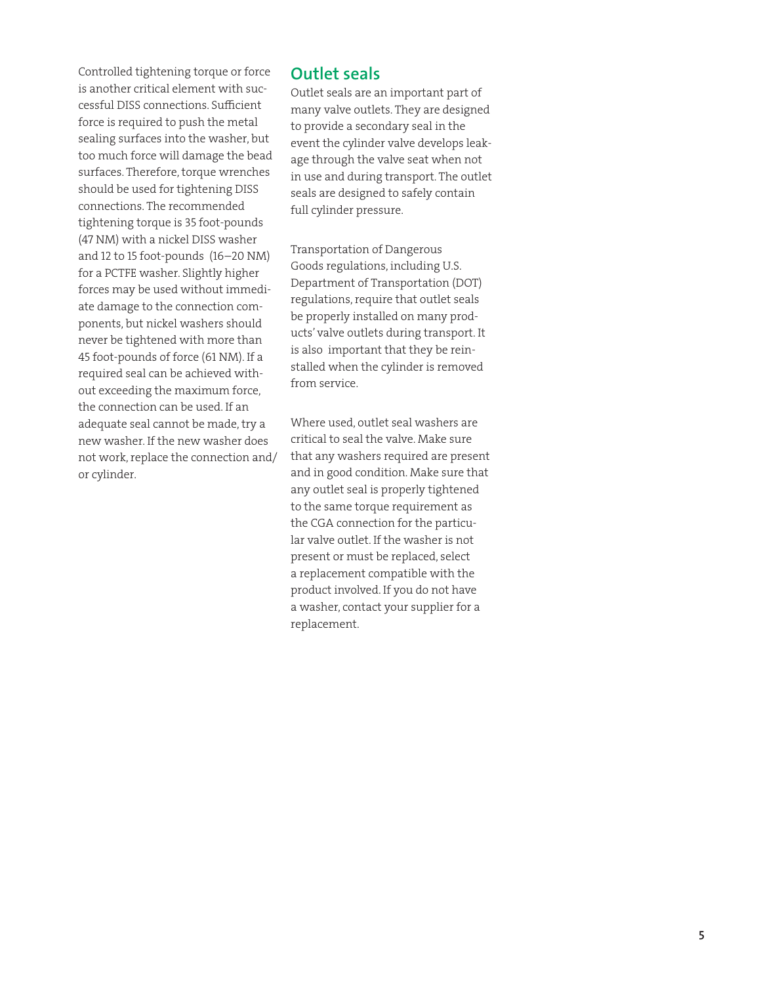Controlled tightening torque or force is another critical element with successful DISS connections. Sufficient force is required to push the metal sealing surfaces into the washer, but too much force will damage the bead surfaces. Therefore, torque wrenches should be used for tightening DISS connections. The recommended tightening torque is 35 foot-pounds (47 NM) with a nickel DISS washer and 12 to 15 foot-pounds (16–20 NM) for a PCTFE washer. Slightly higher forces may be used without immediate damage to the connection components, but nickel washers should never be tightened with more than 45 foot-pounds of force (61 NM). If a required seal can be achieved without exceeding the maximum force, the connection can be used. If an adequate seal cannot be made, try a new washer. If the new washer does not work, replace the connection and/ or cylinder.

### **Outlet seals**

Outlet seals are an important part of many valve outlets. They are designed to provide a secondary seal in the event the cylinder valve develops leakage through the valve seat when not in use and during transport. The outlet seals are designed to safely contain full cylinder pressure.

Transportation of Dangerous Goods regulations, including U.S. Department of Transportation (DOT) regulations, require that outlet seals be properly installed on many products' valve outlets during transport. It is also important that they be reinstalled when the cylinder is removed from service.

Where used, outlet seal washers are critical to seal the valve. Make sure that any washers required are present and in good condition. Make sure that any outlet seal is properly tightened to the same torque requirement as the CGA connection for the particular valve outlet. If the washer is not present or must be replaced, select a replacement compatible with the product involved. If you do not have a washer, contact your supplier for a replacement.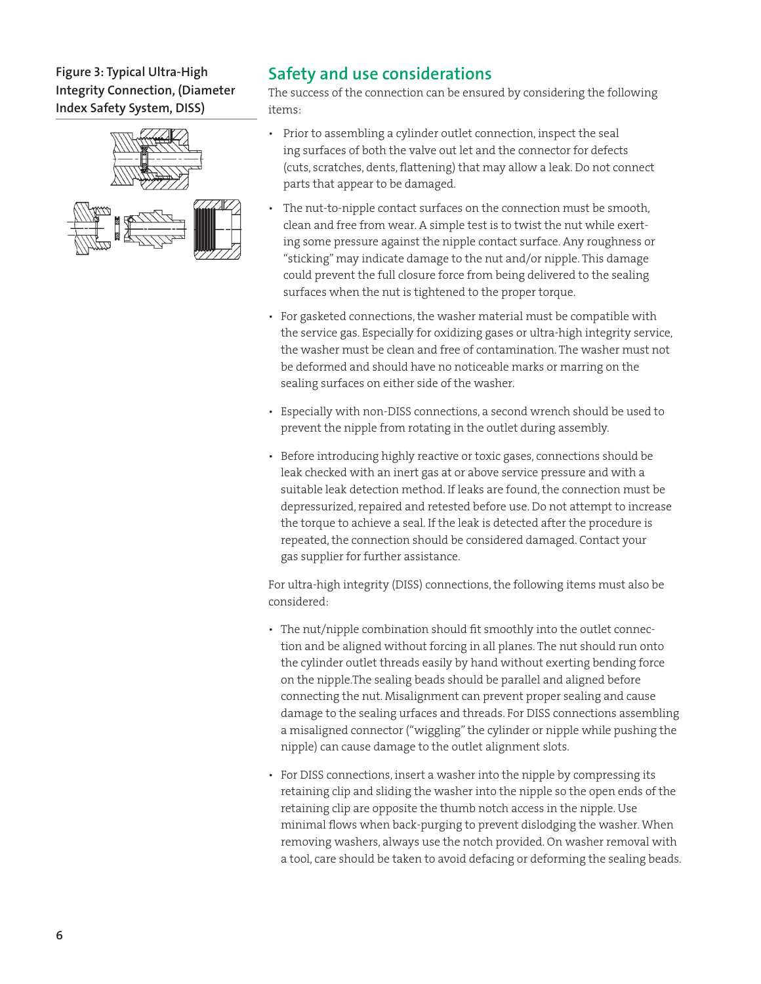### **Figure 3: Typical Ultra-High Integrity Connection, (Diameter Index Safety System, DISS)**



# **Safety and use considerations**

The success of the connection can be ensured by considering the following items:

- Prior to assembling a cylinder outlet connection, inspect the seal ing surfaces of both the valve out let and the connector for defects (cuts, scratches, dents, flattening) that may allow a leak. Do not connect parts that appear to be damaged.
- The nut-to-nipple contact surfaces on the connection must be smooth, clean and free from wear. A simple test is to twist the nut while exerting some pressure against the nipple contact surface. Any roughness or "sticking" may indicate damage to the nut and/or nipple. This damage could prevent the full closure force from being delivered to the sealing surfaces when the nut is tightened to the proper torque.
- For gasketed connections, the washer material must be compatible with the service gas. Especially for oxidizing gases or ultra-high integrity service, the washer must be clean and free of contamination. The washer must not be deformed and should have no noticeable marks or marring on the sealing surfaces on either side of the washer.
- Especially with non-DISS connections, a second wrench should be used to prevent the nipple from rotating in the outlet during assembly.
- Before introducing highly reactive or toxic gases, connections should be leak checked with an inert gas at or above service pressure and with a suitable leak detection method. If leaks are found, the connection must be depressurized, repaired and retested before use. Do not attempt to increase the torque to achieve a seal. If the leak is detected after the procedure is repeated, the connection should be considered damaged. Contact your gas supplier for further assistance.

For ultra-high integrity (DISS) connections, the following items must also be considered:

- The nut/nipple combination should fit smoothly into the outlet connection and be aligned without forcing in all planes. The nut should run onto the cylinder outlet threads easily by hand without exerting bending force on the nipple.The sealing beads should be parallel and aligned before connecting the nut. Misalignment can prevent proper sealing and cause damage to the sealing urfaces and threads. For DISS connections assembling a misaligned connector ("wiggling" the cylinder or nipple while pushing the nipple) can cause damage to the outlet alignment slots.
- For DISS connections, insert a washer into the nipple by compressing its retaining clip and sliding the washer into the nipple so the open ends of the retaining clip are opposite the thumb notch access in the nipple. Use minimal flows when back-purging to prevent dislodging the washer. When removing washers, always use the notch provided. On washer removal with a tool, care should be taken to avoid defacing or deforming the sealing beads.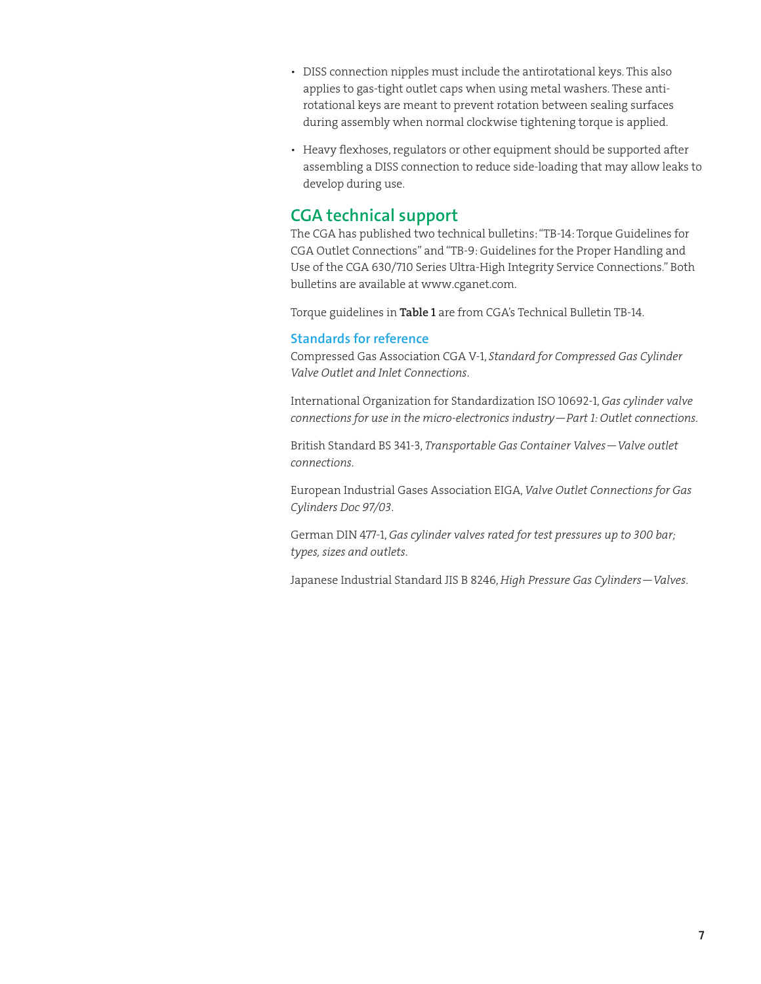- DISS connection nipples must include the antirotational keys. This also applies to gas-tight outlet caps when using metal washers. These antirotational keys are meant to prevent rotation between sealing surfaces during assembly when normal clockwise tightening torque is applied.
- Heavy flexhoses, regulators or other equipment should be supported after assembling a DISS connection to reduce side-loading that may allow leaks to develop during use.

# **CGA technical support**

The CGA has published two technical bulletins: "TB-14: Torque Guidelines for CGA Outlet Connections" and "TB-9: Guidelines for the Proper Handling and Use of the CGA 630/710 Series Ultra-High Integrity Service Connections." Both bulletins are available at www.cganet.com.

Torque guidelines in Table 1 are from CGA's Technical Bulletin TB-14.

### **Standards for reference**

Compressed Gas Association CGA V-1, *Standard for Compressed Gas Cylinder Valve Outlet and Inlet Connections*.

International Organization for Standardization ISO 10692-1, *Gas cylinder valve connections for use in the micro-electronics industry—Part 1: Outlet connections*.

British Standard BS 341-3, *Transportable Gas Container Valves—Valve outlet connections*.

European Industrial Gases Association EIGA, *Valve Outlet Connections for Gas Cylinders Doc 97/03*.

German DIN 477-1, *Gas cylinder valves rated for test pressures up to 300 bar; types, sizes and outlets*.

Japanese Industrial Standard JIS B 8246, *High Pressure Gas Cylinders—Valves*.